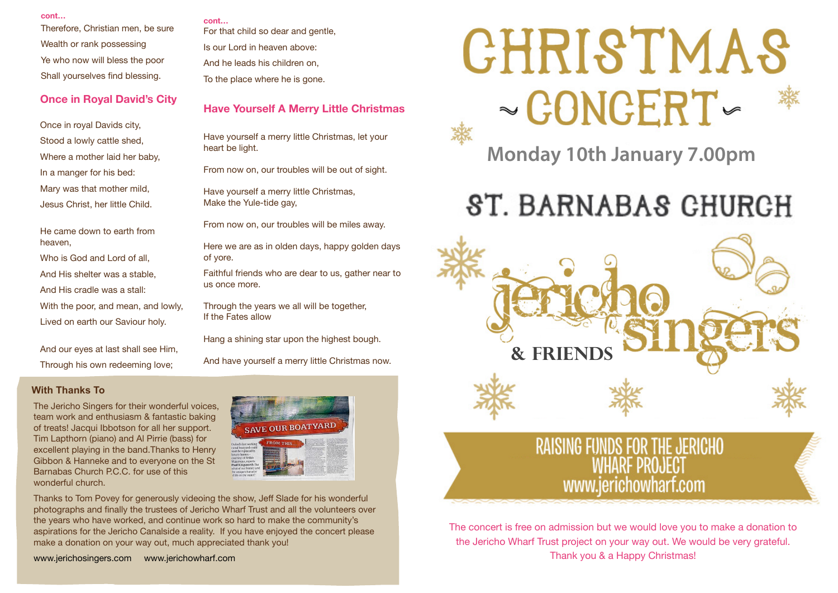#### **cont…**

Therefore, Christian men, be sure Wealth or rank possessing Ye who now will bless the poor Shall yourselves find blessing.

#### **Once in Royal David's City**

Once in royal Davids city, Stood a lowly cattle shed, Where a mother laid her baby, In a manger for his bed: Mary was that mother mild, Jesus Christ, her little Child.

He came down to earth from heaven,

Who is God and Lord of all.

And His shelter was a stable,

And His cradle was a stall:

With the poor, and mean, and lowly, Lived on earth our Saviour holy.

And our eyes at last shall see Him, Through his own redeeming love;

#### **With Thanks To**

The Jericho Singers for their wonderful voices, team work and enthusiasm & fantastic baking of treats! Jacqui Ibbotson for all her support. Tim Lapthorn (piano) and Al Pirrie (bass) for excellent playing in the band.Thanks to Henry Gibbon & Hanneke and to everyone on the St Barnabas Church P.C.C. for use of this wonderful church.

**cont…** For that child so dear and gentle, Is our Lord in heaven above: And he leads his children on, To the place where he is gone.

#### **Have Yourself A Merry Little Christmas**

Have yourself a merry little Christmas, let your heart be light.

From now on, our troubles will be out of sight.

Have yourself a merry little Christmas, Make the Yule-tide gay,

From now on, our troubles will be miles away.

Here we are as in olden days, happy golden days of yore.

Faithful friends who are dear to us, gather near to us once more.

Through the years we all will be together. If the Fates allow

Hang a shining star upon the highest bough.

And have yourself a merry little Christmas now.



Thanks to Tom Povey for generously videoing the show, Jeff Slade for his wonderful photographs and finally the trustees of Jericho Wharf Trust and all the volunteers over the years who have worked, and continue work so hard to make the community's aspirations for the Jericho Canalside a reality. If you have enjoyed the concert please make a donation on your way out, much appreciated thank you!

[www.jerichosingers.com](http://www.jerichosingers.com) www.jerichowharf.com



**Monday 10th January 7.00pm**

# **ST. BARNABAS CHURCH**



The concert is free on admission but we would love you to make a donation to the Jericho Wharf Trust project on your way out. We would be very grateful. Thank you & a Happy Christmas!